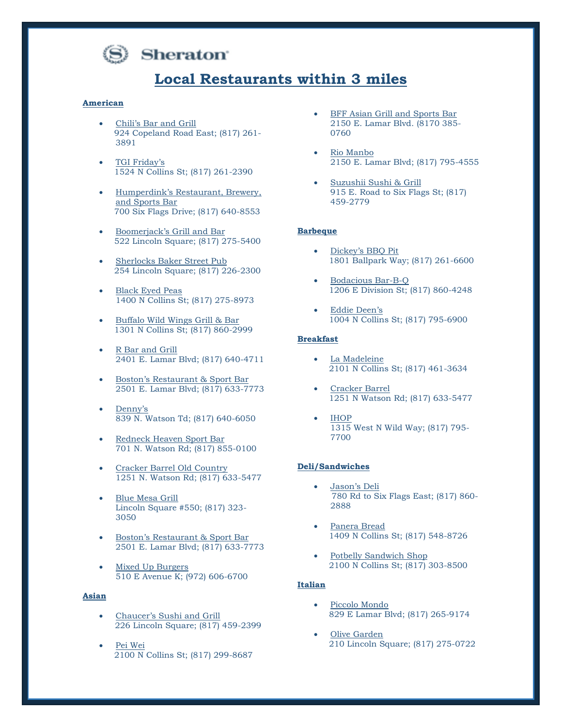

# **Sheraton**

# **Local Restaurants within 3 miles**

#### **American**

- Chili's Bar and Grill 924 Copeland Road East; (817) 261- 3891
- TGI Friday's 1524 N Collins St; (817) 261-2390
- Humperdink's Restaurant, Brewery, and Sports Bar 700 Six Flags Drive; (817) 640-8553
- Boomerjack's Grill and Bar 522 Lincoln Square; (817) 275-5400
- Sherlocks Baker Street Pub 254 Lincoln Square; (817) 226-2300
- **Black Eyed Peas** 1400 N Collins St; (817) 275-8973
- Buffalo Wild Wings Grill & Bar 1301 N Collins St; (817) 860-2999
- R Bar and Grill 2401 E. Lamar Blvd; (817) 640-4711
- Boston's Restaurant & Sport Bar 2501 E. Lamar Blvd; (817) 633-7773
- Denny's 839 N. Watson Td; (817) 640-6050
- Redneck Heaven Sport Bar 701 N. Watson Rd; (817) 855-0100
- Cracker Barrel Old Country 1251 N. Watson Rd; (817) 633-5477
- Blue Mesa Grill Lincoln Square #550; (817) 323- 3050
- Boston's Restaurant & Sport Bar 2501 E. Lamar Blvd; (817) 633-7773
- Mixed Up Burgers 510 E Avenue K; (972) 606-6700

## **Asian**

- Chaucer's Sushi and Grill 226 Lincoln Square; (817) 459-2399
- Pei Wei 2100 N Collins St; (817) 299-8687
- BFF Asian Grill and Sports Bar 2150 E. Lamar Blvd. (8170 385- 0760
- Rio Manbo 2150 E. Lamar Blvd; (817) 795-4555
- Suzushii Sushi & Grill 915 E. Road to Six Flags St; (817) 459-2779

#### **Barbeque**

- Dickey's BBQ Pit 1801 Ballpark Way; (817) 261-6600
- Bodacious Bar-B-Q 1206 E Division St; (817) 860-4248
- Eddie Deen's 1004 N Collins St; (817) 795-6900

#### **Breakfast**

- La Madeleine 2101 N Collins St; (817) 461-3634
- Cracker Barrel 1251 N Watson Rd; (817) 633-5477
- IHOP 1315 West N Wild Way; (817) 795- 7700

#### **Deli/Sandwiches**

- Jason's Deli 780 Rd to Six Flags East; (817) 860- 2888
- Panera Bread 1409 N Collins St; (817) 548-8726
- Potbelly Sandwich Shop 2100 N Collins St; (817) 303-8500

#### **Italian**

- Piccolo Mondo 829 E Lamar Blvd; (817) 265-9174
- **Olive Garden** 210 Lincoln Square; (817) 275-0722